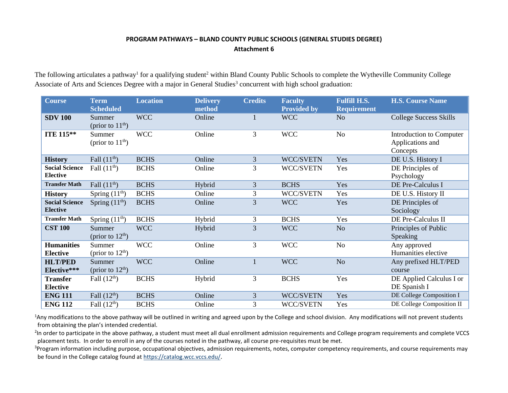## **PROGRAM PATHWAYS – BLAND COUNTY PUBLIC SCHOOLS (GENERAL STUDIES DEGREE) Attachment 6**

The following articulates a pathway<sup>1</sup> for a qualifying student<sup>2</sup> within Bland County Public Schools to complete the Wytheville Community College Associate of Arts and Sciences Degree with a major in General Studies<sup>3</sup> concurrent with high school graduation:

| <b>Course</b>                            | <b>Term</b><br><b>Scheduled</b> | <b>Location</b> | <b>Delivery</b><br>method | <b>Credits</b> | <b>Faculty</b><br><b>Provided by</b> | <b>Fulfill H.S.</b><br><b>Requirement</b> | <b>H.S. Course Name</b>                                  |
|------------------------------------------|---------------------------------|-----------------|---------------------------|----------------|--------------------------------------|-------------------------------------------|----------------------------------------------------------|
| <b>SDV 100</b>                           | Summer<br>(prior to $11th$ )    | <b>WCC</b>      | Online                    | 1              | <b>WCC</b>                           | N <sub>o</sub>                            | <b>College Success Skills</b>                            |
| <b>ITE 115**</b>                         | Summer<br>(prior to $11th$ )    | <b>WCC</b>      | Online                    | 3              | <b>WCC</b>                           | No                                        | Introduction to Computer<br>Applications and<br>Concepts |
| <b>History</b>                           | Fall $(11th)$                   | <b>BCHS</b>     | Online                    | 3              | <b>WCC/SVETN</b>                     | Yes                                       | DE U.S. History I                                        |
| <b>Social Science</b><br><b>Elective</b> | Fall $(11th)$                   | <b>BCHS</b>     | Online                    | 3              | WCC/SVETN                            | Yes                                       | DE Principles of<br>Psychology                           |
| <b>Transfer Math</b>                     | Fall $(11th)$                   | <b>BCHS</b>     | Hybrid                    | 3              | <b>BCHS</b>                          | Yes                                       | DE Pre-Calculus I                                        |
| <b>History</b>                           | Spring $(11th)$                 | <b>BCHS</b>     | Online                    | 3              | WCC/SVETN                            | Yes                                       | DE U.S. History II                                       |
| <b>Social Science</b><br><b>Elective</b> | Spring $(11th)$                 | <b>BCHS</b>     | Online                    | $\overline{3}$ | <b>WCC</b>                           | Yes                                       | DE Principles of<br>Sociology                            |
| <b>Transfer Math</b>                     | Spring $(11th)$                 | <b>BCHS</b>     | Hybrid                    | 3              | <b>BCHS</b>                          | Yes                                       | DE Pre-Calculus II                                       |
| <b>CST 100</b>                           | Summer<br>(prior to $12th$ )    | <b>WCC</b>      | Hybrid                    | 3              | <b>WCC</b>                           | N <sub>o</sub>                            | Principles of Public<br><b>Speaking</b>                  |
| <b>Humanities</b><br><b>Elective</b>     | Summer<br>(prior to $12th$ )    | <b>WCC</b>      | Online                    | $\overline{3}$ | <b>WCC</b>                           | No                                        | Any approved<br>Humanities elective                      |
| <b>HLT/PED</b><br>Elective***            | Summer<br>(prior to $12th$ )    | <b>WCC</b>      | Online                    | $\mathbf{1}$   | <b>WCC</b>                           | N <sub>o</sub>                            | Any prefixed HLT/PED<br>course                           |
| <b>Transfer</b><br><b>Elective</b>       | Fall $(12th)$                   | <b>BCHS</b>     | Hybrid                    | 3              | <b>BCHS</b>                          | Yes                                       | DE Applied Calculus I or<br>DE Spanish I                 |
| <b>ENG 111</b>                           | Fall $(12th)$                   | <b>BCHS</b>     | Online                    | 3              | WCC/SVETN                            | Yes                                       | DE College Composition I                                 |
| <b>ENG 112</b>                           | Fall $(12th)$                   | <b>BCHS</b>     | Online                    | 3              | WCC/SVETN                            | Yes                                       | DE College Composition II                                |

<sup>1</sup>Any modifications to the above pathway will be outlined in writing and agreed upon by the College and school division. Any modifications will not prevent students from obtaining the plan's intended credential.

<sup>2</sup>In order to participate in the above pathway, a student must meet all dual enrollment admission requirements and College program requirements and complete VCCS placement tests. In order to enroll in any of the courses noted in the pathway, all course pre-requisites must be met.

<sup>3</sup>Program information including purpose, occupational objectives, admission requirements, notes, computer competency requirements, and course requirements may be found in the College catalog found a[t https://catalog.wcc.vccs.edu/](https://catalog.wcc.vccs.edu/).